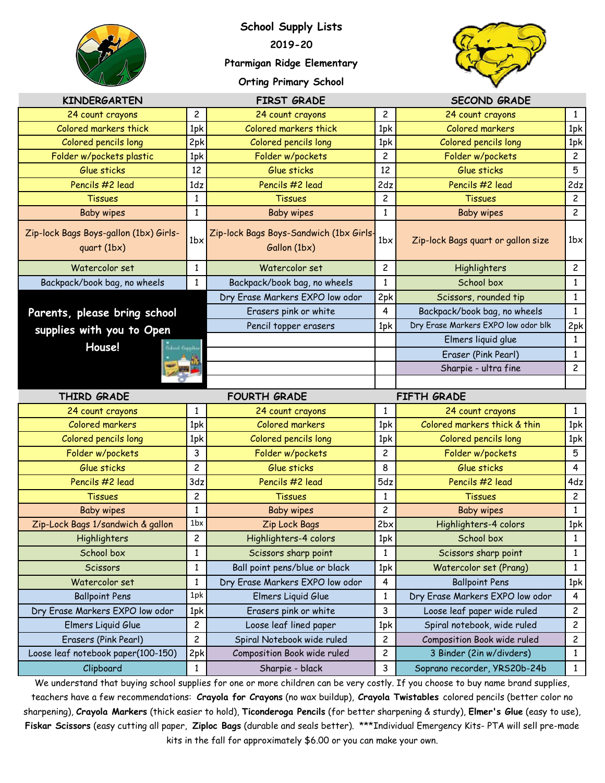

**School Supply Lists 2019-20 Ptarmigan Ridge Elementary**





| <b>KINDERGARTEN</b>                                     |                 | <b>FIRST GRADE</b>                                      |                | <b>SECOND GRADE</b>                 |                |
|---------------------------------------------------------|-----------------|---------------------------------------------------------|----------------|-------------------------------------|----------------|
| 24 count crayons                                        | $\overline{c}$  | 24 count crayons                                        | 2              | 24 count crayons                    | $\mathbf{1}$   |
| Colored markers thick                                   | 1pk             | Colored markers thick                                   | 1pk            | Colored markers                     | 1pk            |
| Colored pencils long                                    | 2pk             | Colored pencils long                                    | 1pk            | Colored pencils long                | 1pk            |
| Folder w/pockets plastic                                | 1pk             | Folder w/pockets                                        | 2              | Folder w/pockets                    | $\overline{c}$ |
| Glue sticks                                             | 12              | Glue sticks                                             | 12             | Glue sticks                         | 5              |
| Pencils #2 lead                                         | 1dz             | Pencils #2 lead                                         | 2dz            | Pencils #2 lead                     | 2dz            |
| <b>Tissues</b>                                          | 1               | <b>Tissues</b>                                          | 2              | <b>Tissues</b>                      | $\overline{c}$ |
| Baby wipes                                              | $\mathbf{1}$    | <b>Baby wipes</b>                                       | $\mathbf{1}$   | <b>Baby wipes</b>                   | $\overline{c}$ |
| Zip-lock Bags Boys-gallon (1bx) Girls-<br>$quart$ (1bx) | 1 <sub>b</sub>  | Zip-lock Bags Boys-Sandwich (1bx Girls-<br>Gallon (1bx) | 1 <sub>b</sub> | Zip-lock Bags quart or gallon size  | 1 <sub>b</sub> |
| Watercolor set                                          | 1               | Watercolor set                                          | 2              | Highlighters                        | 2              |
| Backpack/book bag, no wheels                            | $\mathbf{1}$    | Backpack/book bag, no wheels                            | $\mathbf{1}$   | School box                          | $\mathbf{1}$   |
|                                                         |                 | Dry Erase Markers EXPO low odor                         | 2pk            | Scissors, rounded tip               | $\mathbf{1}$   |
| Parents, please bring school                            |                 | Erasers pink or white                                   | 4              | Backpack/book bag, no wheels        | $\mathbf{1}$   |
| supplies with you to Open                               |                 | Pencil topper erasers                                   | 1pk            | Dry Erase Markers EXPO low odor blk | 2pk            |
| House!                                                  |                 |                                                         |                | Elmers liquid glue                  | $\mathbf{1}$   |
|                                                         |                 |                                                         |                | Eraser (Pink Pearl)                 | 1              |
|                                                         |                 |                                                         |                | Sharpie - ultra fine                | $\overline{c}$ |
|                                                         |                 |                                                         |                |                                     |                |
|                                                         |                 |                                                         |                |                                     |                |
| THIRD GRADE                                             |                 | <b>FOURTH GRADE</b>                                     |                | FIFTH GRADE                         |                |
| 24 count crayons                                        | 1               | 24 count crayons                                        | 1              | 24 count crayons                    | $\mathbf{1}$   |
| Colored markers                                         | 1pk             | Colored markers                                         | 1pk            | Colored markers thick & thin        | 1pk            |
| Colored pencils long                                    | 1pk             | Colored pencils long                                    | 1pk            | Colored pencils long                | 1pk            |
| Folder w/pockets                                        | 3               | Folder w/pockets                                        | 2              | Folder w/pockets                    | 5              |
| Glue sticks                                             | $\overline{c}$  | Glue sticks                                             | 8              | Glue sticks                         | 4              |
| Pencils #2 lead                                         | 3 <sub>dz</sub> | Pencils #2 lead                                         | 5dz            | Pencils #2 lead                     | 4dz            |
| <b>Tissues</b>                                          | $\overline{c}$  | <b>Tissues</b>                                          | $\mathbf{1}$   | <b>Tissues</b>                      | $\overline{c}$ |
| <b>Baby wipes</b>                                       | $\mathbf{1}$    | <b>Baby wipes</b>                                       | 2              | <b>Baby wipes</b>                   | $\mathbf{1}$   |
| Zip-Lock Bags 1/sandwich & gallon                       | 1bx             | Zip Lock Bags                                           | 2bx            | Highlighters-4 colors               | 1pk            |
| Highlighters                                            | 2               | Highlighters-4 colors                                   | 1pk            | School box                          | $\mathbf{1}$   |
| School box                                              | 1               | Scissors sharp point                                    | 1              | Scissors sharp point                | $\mathbf{1}$   |
| <b>Scissors</b>                                         | $\mathbf{1}$    | Ball point pens/blue or black                           | 1pk            | Watercolor set (Prang)              | $\mathbf{1}$   |
| Watercolor set                                          | 1               | Dry Erase Markers EXPO low odor                         | 4              | <b>Ballpoint Pens</b>               | 1pk            |
| <b>Ballpoint Pens</b>                                   | 1pk             | Elmers Liquid Glue                                      | $\mathbf{1}$   | Dry Erase Markers EXPO low odor     | 4              |
| Dry Erase Markers EXPO low odor                         | 1pk             | Erasers pink or white                                   | 3              | Loose leaf paper wide ruled         | 2              |
| Elmers Liquid Glue                                      | $\overline{c}$  | Loose leaf lined paper                                  | 1pk            | Spiral notebook, wide ruled         | 2              |
| Erasers (Pink Pearl)                                    | $\overline{c}$  | Spiral Notebook wide ruled                              | 2              | Composition Book wide ruled         | 2              |
| Loose leaf notebook paper(100-150)                      | 2pk             | Composition Book wide ruled                             | 2              | 3 Binder (2in w/divders)            | $\mathbf{1}$   |

We understand that buying school supplies for one or more children can be very costly. If you choose to buy name brand supplies, teachers have a few recommendations: **Crayola for Crayons** (no wax buildup), **Crayola Twistables** colored pencils (better color no sharpening), **Crayola Markers** (thick easier to hold), **Ticonderoga Pencils** (for better sharpening & sturdy), **Elmer's Glue** (easy to use), **Fiskar Scissors** (easy cutting all paper, **Ziploc Bags** (durable and seals better). \*\*\*Individual Emergency Kits- PTA will sell pre-made kits in the fall for approximately \$6.00 or you can make your own.